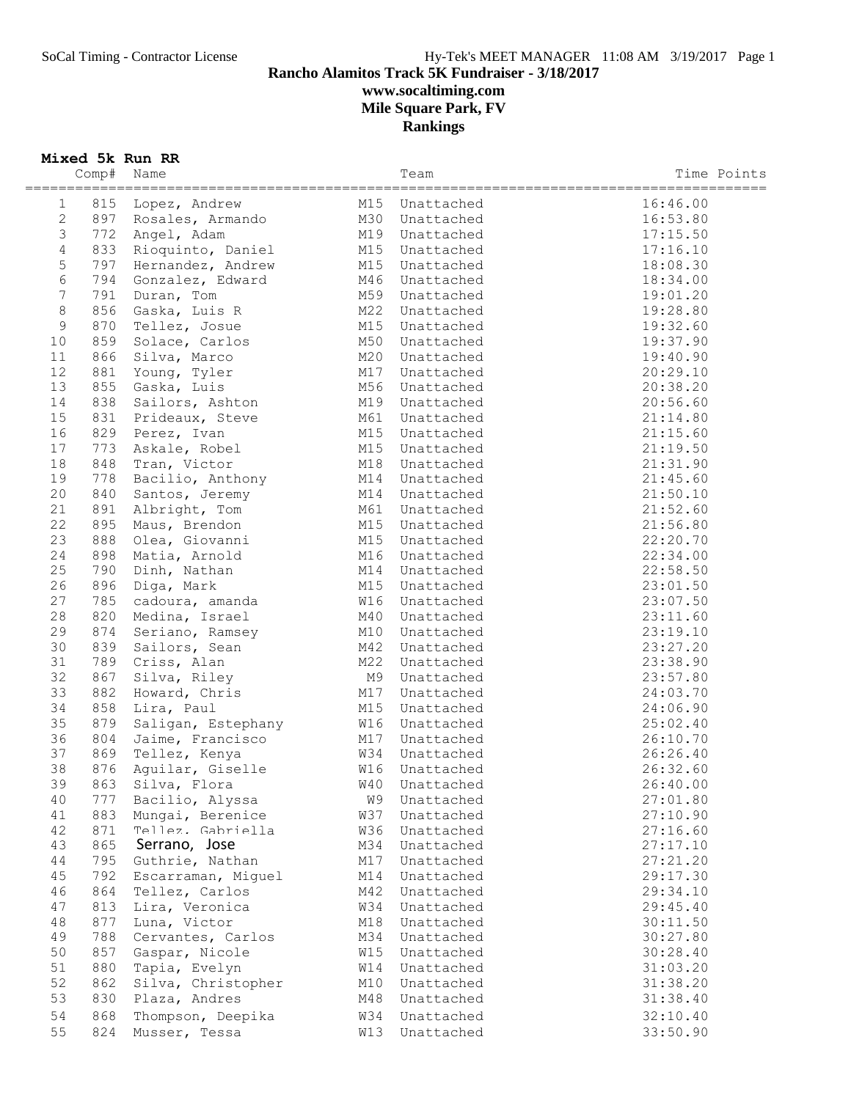## SoCal Timing - Contractor License Hy-Tek's MEET MANAGER 11:08 AM 3/19/2017 Page 1 **Rancho Alamitos Track 5K Fundraiser - 3/18/2017 www.socaltiming.com Mile Square Park, FV Rankings**

### **Mixed 5k Run RR**

|                                  | Comp# | Name               |     | Team       | Time Points |
|----------------------------------|-------|--------------------|-----|------------|-------------|
| ==========                       |       |                    |     |            |             |
| $\mathbf{1}$                     | 815   | Lopez, Andrew      | M15 | Unattached | 16:46.00    |
| $\mathbf{2}$                     | 897   | Rosales, Armando   | M30 | Unattached | 16:53.80    |
| $\mathfrak{Z}$<br>$\overline{4}$ | 772   | Angel, Adam        | M19 | Unattached | 17:15.50    |
|                                  | 833   | Rioquinto, Daniel  | M15 | Unattached | 17:16.10    |
| 5                                | 797   | Hernandez, Andrew  | M15 | Unattached | 18:08.30    |
| 6                                | 794   | Gonzalez, Edward   | M46 | Unattached | 18:34.00    |
| 7                                | 791   | Duran, Tom         | M59 | Unattached | 19:01.20    |
| $\,8\,$                          | 856   | Gaska, Luis R      | M22 | Unattached | 19:28.80    |
| $\mathcal{G}$                    | 870   | Tellez, Josue      | M15 | Unattached | 19:32.60    |
| 10                               | 859   | Solace, Carlos     | M50 | Unattached | 19:37.90    |
| 11                               | 866   | Silva, Marco       | M20 | Unattached | 19:40.90    |
| 12                               | 881   | Young, Tyler       | M17 | Unattached | 20:29.10    |
| 13                               | 855   | Gaska, Luis        | M56 | Unattached | 20:38.20    |
| 14                               | 838   | Sailors, Ashton    | M19 | Unattached | 20:56.60    |
| 15                               | 831   | Prideaux, Steve    | M61 | Unattached | 21:14.80    |
| 16                               | 829   | Perez, Ivan        | M15 | Unattached | 21:15.60    |
| 17                               | 773   | Askale, Robel      | M15 | Unattached | 21:19.50    |
| 18                               | 848   | Tran, Victor       | M18 | Unattached | 21:31.90    |
| 19                               | 778   | Bacilio, Anthony   | M14 | Unattached | 21:45.60    |
| 20                               | 840   | Santos, Jeremy     | M14 | Unattached | 21:50.10    |
| 21                               | 891   | Albright, Tom      | M61 | Unattached | 21:52.60    |
| 22                               | 895   | Maus, Brendon      | M15 | Unattached | 21:56.80    |
| 23                               | 888   | Olea, Giovanni     | M15 | Unattached | 22:20.70    |
| 24                               | 898   | Matia, Arnold      | M16 | Unattached | 22:34.00    |
| 25                               | 790   | Dinh, Nathan       | M14 | Unattached | 22:58.50    |
| 26                               | 896   | Diga, Mark         | M15 | Unattached | 23:01.50    |
| 27                               | 785   | cadoura, amanda    | W16 | Unattached | 23:07.50    |
| 28                               | 820   | Medina, Israel     | M40 | Unattached | 23:11.60    |
| 29                               | 874   | Seriano, Ramsey    | M10 | Unattached | 23:19.10    |
| 30                               | 839   | Sailors, Sean      | M42 | Unattached | 23:27.20    |
| 31                               | 789   | Criss, Alan        | M22 | Unattached | 23:38.90    |
| 32                               | 867   | Silva, Riley       | M9  | Unattached | 23:57.80    |
| 33                               | 882   | Howard, Chris      | M17 | Unattached | 24:03.70    |
| 34                               | 858   | Lira, Paul         | M15 | Unattached | 24:06.90    |
| 35                               | 879   | Saligan, Estephany | W16 | Unattached | 25:02.40    |
| 36                               | 804   | Jaime, Francisco   | M17 | Unattached | 26:10.70    |
| 37                               | 869   | Tellez, Kenya      | W34 | Unattached | 26:26.40    |
| 38                               | 876   | Aguilar, Giselle   | W16 | Unattached | 26:32.60    |
| 39                               | 863   | Silva, Flora       | W40 | Unattached | 26:40.00    |
| 40                               | 777   | Bacilio, Alyssa    | W9  | Unattached | 27:01.80    |
| 41                               | 883   | Mungai, Berenice   | W37 | Unattached | 27:10.90    |
| 42                               | 871   | Tellez. Gabriella  | W36 | Unattached | 27:16.60    |
| 43                               | 865   | Serrano, Jose      | M34 | Unattached | 27:17.10    |
| 44                               | 795   | Guthrie, Nathan    | M17 | Unattached | 27:21.20    |
| 45                               | 792   | Escarraman, Miguel | M14 | Unattached | 29:17.30    |
| 46                               | 864   | Tellez, Carlos     | M42 | Unattached | 29:34.10    |
| 47                               | 813   | Lira, Veronica     | W34 | Unattached | 29:45.40    |
| 48                               | 877   | Luna, Victor       | M18 | Unattached | 30:11.50    |
| 49                               | 788   | Cervantes, Carlos  | M34 | Unattached | 30:27.80    |
| 50<br>51                         | 857   | Gaspar, Nicole     | W15 | Unattached | 30:28.40    |
| 52                               | 880   | Tapia, Evelyn      | W14 | Unattached | 31:03.20    |
|                                  | 862   | Silva, Christopher | M10 | Unattached | 31:38.20    |
| 53                               | 830   | Plaza, Andres      | M48 | Unattached | 31:38.40    |
| 54                               | 868   | Thompson, Deepika  | W34 | Unattached | 32:10.40    |
| 55                               | 824   | Musser, Tessa      | W13 | Unattached | 33:50.90    |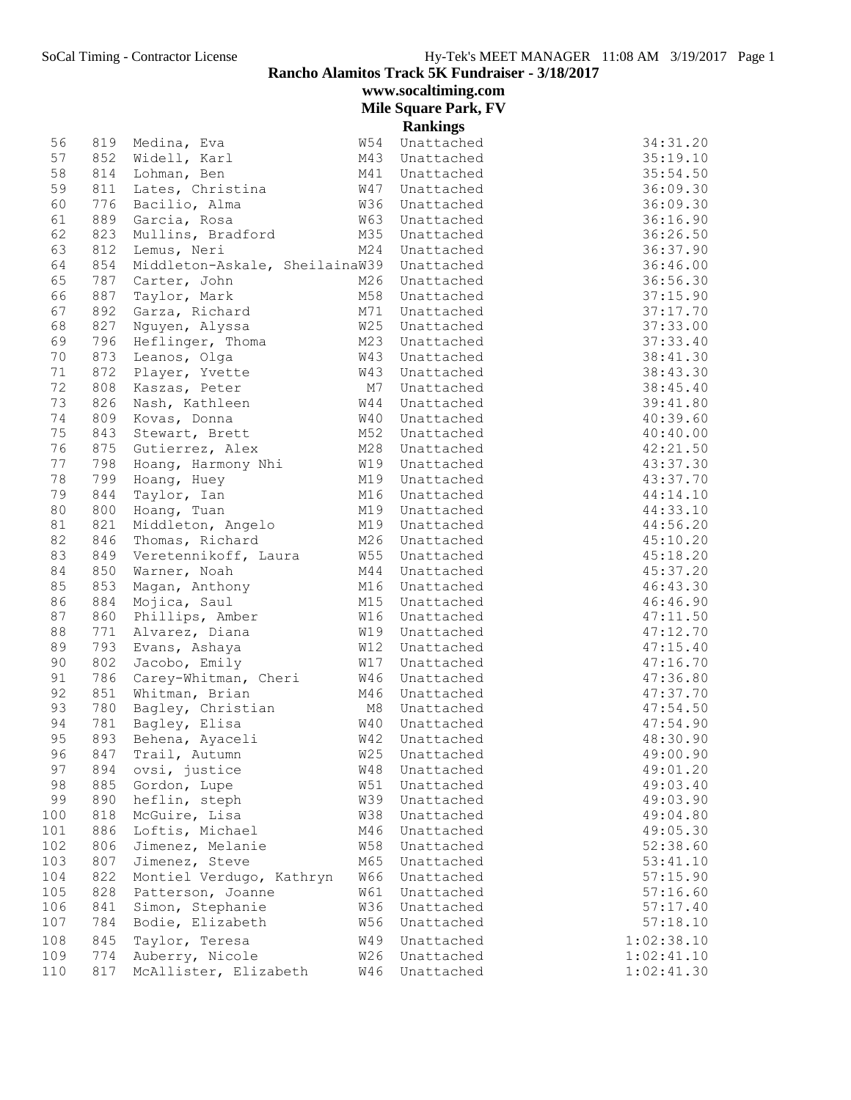**Rancho Alamitos Track 5K Fundraiser - 3/18/2017**

**www.socaltiming.com**

**Mile Square Park, FV**

|            |            |                                       |                   | <b>Rankings</b>          |            |
|------------|------------|---------------------------------------|-------------------|--------------------------|------------|
| 56         | 819        | Medina, Eva                           | W54               | Unattached               | 34:31.20   |
| 57         | 852        | Widell, Karl                          | M43               | Unattached               | 35:19.10   |
| 58         | 814        | Lohman, Ben                           | M41               | Unattached               | 35:54.50   |
| 59         | 811        | Lates, Christina                      | W47               | Unattached               | 36:09.30   |
| 60         | 776        | Bacilio, Alma                         | W36               | Unattached               | 36:09.30   |
| 61         | 889        | Garcia, Rosa                          | <b>W63</b>        | Unattached               | 36:16.90   |
| 62         | 823        | Mullins, Bradford                     | M35               | Unattached               | 36:26.50   |
| 63         | 812        | Lemus, Neri                           | M24               | Unattached               | 36:37.90   |
| 64         | 854        | Middleton-Askale, SheilainaW39        |                   | Unattached               | 36:46.00   |
| 65         | 787        | Carter, John                          | M26               | Unattached               | 36:56.30   |
| 66         | 887        | Taylor, Mark                          | M58               | Unattached               | 37:15.90   |
| 67         | 892        | Garza, Richard                        | M71               | Unattached               | 37:17.70   |
| 68         | 827        | Nguyen, Alyssa                        | W25               | Unattached               | 37:33.00   |
| 69         | 796        | Heflinger, Thoma                      | M23               | Unattached               | 37:33.40   |
| 70         | 873        | Leanos, Olga                          | W43               | Unattached               | 38:41.30   |
| 71         | 872        | Player, Yvette                        | <b>W43</b>        | Unattached               | 38:43.30   |
| 72         | 808        | Kaszas, Peter                         | M7                | Unattached               | 38:45.40   |
| 73         | 826        | Nash, Kathleen                        | W44               | Unattached               | 39:41.80   |
| 74         | 809        | Kovas, Donna                          | W40               | Unattached               | 40:39.60   |
| 75         | 843        | Stewart, Brett                        | M52               | Unattached               | 40:40.00   |
| 76         | 875        | Gutierrez, Alex                       | M28               | Unattached               | 42:21.50   |
| 77         | 798        | Hoang, Harmony Nhi                    | W19               | Unattached               | 43:37.30   |
| 78         | 799        | Hoang, Huey                           | M19               | Unattached               | 43:37.70   |
| 79         | 844        | Taylor, Ian                           | M16               | Unattached               | 44:14.10   |
| 80         | 800        | Hoang, Tuan                           | M19               | Unattached               | 44:33.10   |
| 81         | 821        | Middleton, Angelo                     | M19               | Unattached               | 44:56.20   |
| 82         | 846        | Thomas, Richard                       | M26               | Unattached               | 45:10.20   |
| 83         | 849        | Veretennikoff, Laura                  | W55               | Unattached               | 45:18.20   |
| 84         | 850        | Warner, Noah                          | M44               | Unattached               | 45:37.20   |
| 85         | 853        | Magan, Anthony                        | M16               | Unattached               | 46:43.30   |
| 86         | 884        | Mojica, Saul                          | M15               | Unattached               | 46:46.90   |
| 87         | 860        | Phillips, Amber                       | W16               | Unattached               | 47:11.50   |
| 88         | 771        | Alvarez, Diana                        | <b>W19</b>        | Unattached               | 47:12.70   |
| 89         | 793        | Evans, Ashaya                         | W12               | Unattached               | 47:15.40   |
| 90         | 802        | Jacobo, Emily                         | <b>W17</b>        | Unattached               | 47:16.70   |
| 91         | 786        | Carey-Whitman, Cheri                  | W46               | Unattached               | 47:36.80   |
| 92         | 851        | Whitman, Brian                        | M46               | Unattached               | 47:37.70   |
| 93         | 780        | Bagley, Christian                     | M8                | Unattached               | 47:54.50   |
| 94         | 781        | Bagley, Elisa                         | W40               | Unattached               | 47:54.90   |
| 95         | 893        | Behena, Ayaceli                       | W42               | Unattached               | 48:30.90   |
| 96         | 847        | Trail, Autumn                         | W25               | Unattached               | 49:00.90   |
| 97         | 894        | ovsi, justice                         | <b>W48</b>        | Unattached               | 49:01.20   |
| 98         | 885        | Gordon, Lupe                          | W51               | Unattached               | 49:03.40   |
| 99         | 890        | heflin, steph                         | <b>W39</b>        | Unattached               | 49:03.90   |
| 100        | 818        | McGuire, Lisa                         | <b>W38</b>        | Unattached               | 49:04.80   |
| 101        | 886        | Loftis, Michael                       | M46               | Unattached               | 49:05.30   |
| 102        | 806        | Jimenez, Melanie                      | <b>W58</b>        | Unattached               | 52:38.60   |
| 103        | 807        | Jimenez, Steve                        | M65               | Unattached               | 53:41.10   |
| 104        | 822        | Montiel Verdugo, Kathryn              | <b>W66</b>        | Unattached               | 57:15.90   |
| 105        | 828        | Patterson, Joanne<br>Simon, Stephanie | W61<br><b>W36</b> | Unattached               | 57:16.60   |
| 106<br>107 | 841<br>784 | Bodie, Elizabeth                      | W56               | Unattached<br>Unattached | 57:17.40   |
|            |            |                                       |                   |                          | 57:18.10   |
| 108        | 845        | Taylor, Teresa                        | W49               | Unattached               | 1:02:38.10 |
| 109        | 774        | Auberry, Nicole                       | W26               | Unattached               | 1:02:41.10 |
| 110        | 817        | McAllister, Elizabeth                 | W46               | Unattached               | 1:02:41.30 |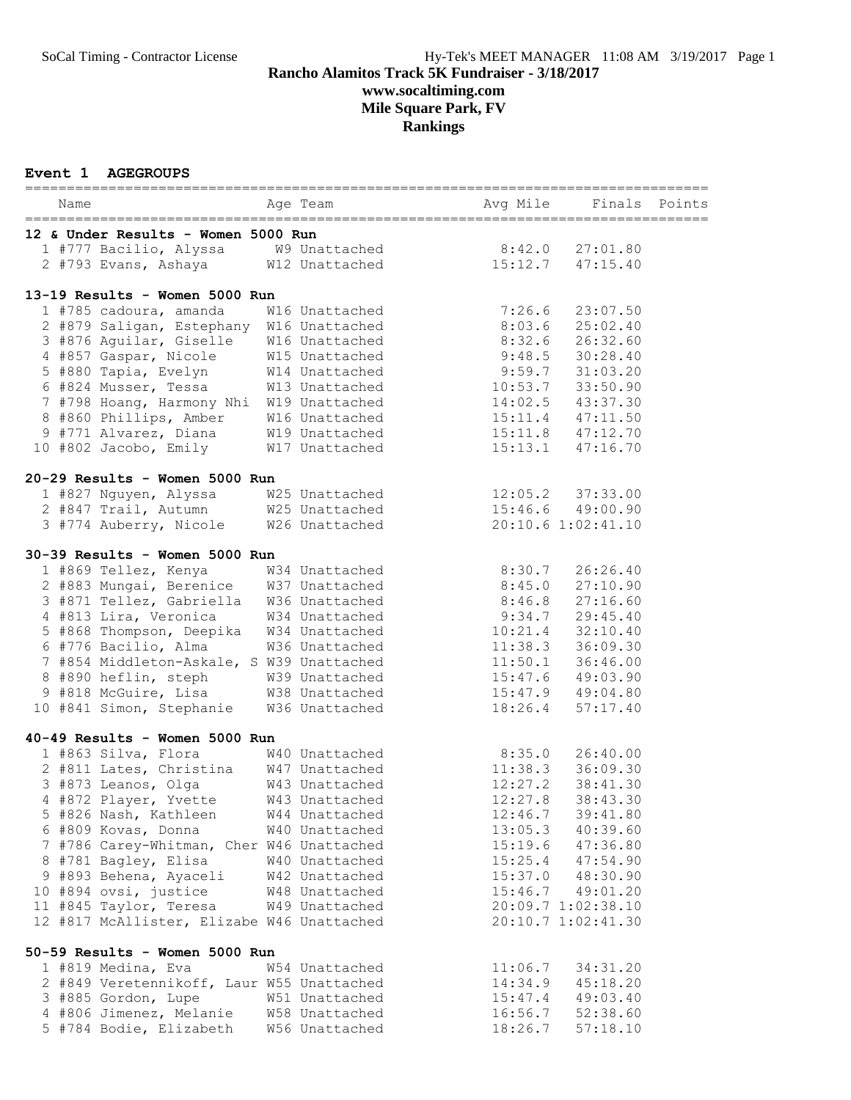## SoCal Timing - Contractor License Hy-Tek's MEET MANAGER 11:08 AM 3/19/2017 Page 1 **Rancho Alamitos Track 5K Fundraiser - 3/18/2017 www.socaltiming.com Mile Square Park, FV Rankings**

### **Event 1 AGEGROUPS**

| ==========                                                                  |  | =========<br>________________________ |          |                      | ============== |  |  |
|-----------------------------------------------------------------------------|--|---------------------------------------|----------|----------------------|----------------|--|--|
| Name                                                                        |  | Age Team                              | Avg Mile | Finals Points        |                |  |  |
| 12 & Under Results - Women 5000 Run                                         |  |                                       |          |                      |                |  |  |
| 1 #777 Bacilio, Alyssa M9 Unattached                                        |  |                                       |          | $8:42.0$ $27:01.80$  |                |  |  |
| 2 #793 Evans, Ashaya                                                        |  | W12 Unattached                        |          | $15:12.7$ $47:15.40$ |                |  |  |
|                                                                             |  |                                       |          |                      |                |  |  |
| 13-19 Results - Women 5000 Run                                              |  |                                       |          |                      |                |  |  |
| 1 #785 cadoura, amanda                                                      |  | W16 Unattached                        | 7:26.6   | 23:07.50             |                |  |  |
| 2 #879 Saligan, Estephany W16 Unattached                                    |  |                                       | 8:03.6   | 25:02.40             |                |  |  |
| 3 #876 Aguilar, Giselle W16 Unattached                                      |  |                                       | 8:32.6   | 26:32.60             |                |  |  |
| 4 #857 Gaspar, Nicole M15 Unattached<br>5 #880 Tapia, Evelyn M14 Unattached |  |                                       | 9:48.5   | 30:28.40             |                |  |  |
| 5 #880 Tapia, Evelyn                                                        |  |                                       | 9:59.7   | 31:03.20             |                |  |  |
| 6 #824 Musser, Tessa                                                        |  | W13 Unattached                        | 10:53.7  | 33:50.90             |                |  |  |
| 7 #798 Hoang, Harmony Nhi W19 Unattached                                    |  |                                       | 14:02.5  | 43:37.30             |                |  |  |
| 8 #860 Phillips, Amber                                                      |  | W16 Unattached                        |          | 15:11.4 47:11.50     |                |  |  |
| 9 #771 Alvarez, Diana                                                       |  | W19 Unattached                        |          | 15:11.8 47:12.70     |                |  |  |
| 10 #802 Jacobo, Emily                                                       |  | W17 Unattached                        | 15:13.1  | 47:16.70             |                |  |  |
| 20-29 Results - Women 5000 Run                                              |  |                                       |          |                      |                |  |  |
| 1 #827 Nguyen, Alyssa                                                       |  | W25 Unattached                        |          | 12:05.2 37:33.00     |                |  |  |
| 2 #847 Trail, Autumn W25 Unattached                                         |  |                                       |          | 15:46.6 49:00.90     |                |  |  |
| 3 #774 Auberry, Nicole W26 Unattached                                       |  |                                       |          | 20:10.6 1:02:41.10   |                |  |  |
| 30-39 Results - Women 5000 Run                                              |  |                                       |          |                      |                |  |  |
| 1 #869 Tellez, Kenya                                                        |  | W34 Unattached                        | 8:30.7   | 26:26.40             |                |  |  |
| 2 #883 Mungai, Berenice W37 Unattached                                      |  |                                       | 8:45.0   | 27:10.90             |                |  |  |
| 3 #871 Tellez, Gabriella W36 Unattached                                     |  |                                       | 8:46.8   | 27:16.60             |                |  |  |
| 4 #813 Lira, Veronica                                                       |  | W34 Unattached                        | 9:34.7   | 29:45.40             |                |  |  |
| 5 #868 Thompson, Deepika W34 Unattached                                     |  |                                       | 10:21.4  | 32:10.40             |                |  |  |
| 6 #776 Bacilio, Alma                                                        |  | W36 Unattached                        | 11:38.3  | 36:09.30             |                |  |  |
| 7 #854 Middleton-Askale, S W39 Unattached                                   |  |                                       |          | 11:50.1 36:46.00     |                |  |  |
| 8 #890 heflin, steph                                                        |  | W39 Unattached                        |          | 15:47.6 49:03.90     |                |  |  |
| 9 #818 McGuire, Lisa W38 Unattached                                         |  |                                       |          | $15:47.9$ $49:04.80$ |                |  |  |
| 10 #841 Simon, Stephanie                                                    |  | W36 Unattached                        | 18:26.4  | 57:17.40             |                |  |  |
|                                                                             |  |                                       |          |                      |                |  |  |
| 40-49 Results - Women 5000 Run                                              |  |                                       |          |                      |                |  |  |
| 1 #863 Silva, Flora                                                         |  | W40 Unattached                        |          | 8:35.0 26:40.00      |                |  |  |
| 2 #811 Lates, Christina W47 Unattached                                      |  |                                       |          | $11:38.3$ $36:09.30$ |                |  |  |
| 3 #873 Leanos, Olga                                                         |  | W43 Unattached                        | 12:27.2  | 38:41.30             |                |  |  |
| 4 #872 Player, Yvette                                                       |  | W43 Unattached                        | 12:27.8  | 38:43.30             |                |  |  |
| 5 #826 Nash, Kathleen                                                       |  | W44 Unattached                        | 12:46.7  | 39:41.80             |                |  |  |
| 6 #809 Kovas, Donna                                                         |  | W40 Unattached                        | 13:05.3  | 40:39.60             |                |  |  |
| 7 #786 Carey-Whitman, Cher W46 Unattached                                   |  |                                       |          | 15:19.6 47:36.80     |                |  |  |
| 8 #781 Bagley, Elisa                                                        |  | W40 Unattached                        |          | $15:25.4$ $47:54.90$ |                |  |  |
| 9 #893 Behena, Ayaceli                                                      |  | W42 Unattached                        |          | 15:37.0 48:30.90     |                |  |  |
| 10 #894 ovsi, justice                                                       |  | W48 Unattached                        |          | 15:46.7 49:01.20     |                |  |  |
| 11 #845 Taylor, Teresa                                                      |  | W49 Unattached                        |          | 20:09.7 1:02:38.10   |                |  |  |
| 12 #817 McAllister, Elizabe W46 Unattached                                  |  |                                       |          | 20:10.7 1:02:41.30   |                |  |  |
| 50-59 Results - Women 5000 Run                                              |  |                                       |          |                      |                |  |  |
| 1 #819 Medina, Eva                                                          |  | W54 Unattached                        | 11:06.7  | 34:31.20             |                |  |  |
| 2 #849 Veretennikoff, Laur W55 Unattached                                   |  |                                       | 14:34.9  | 45:18.20             |                |  |  |
| 3 #885 Gordon, Lupe                                                         |  | W51 Unattached                        | 15:47.4  | 49:03.40             |                |  |  |
| 4 #806 Jimenez, Melanie                                                     |  | W58 Unattached                        | 16:56.7  | 52:38.60             |                |  |  |
| 5 #784 Bodie, Elizabeth                                                     |  | W56 Unattached                        | 18:26.7  | 57:18.10             |                |  |  |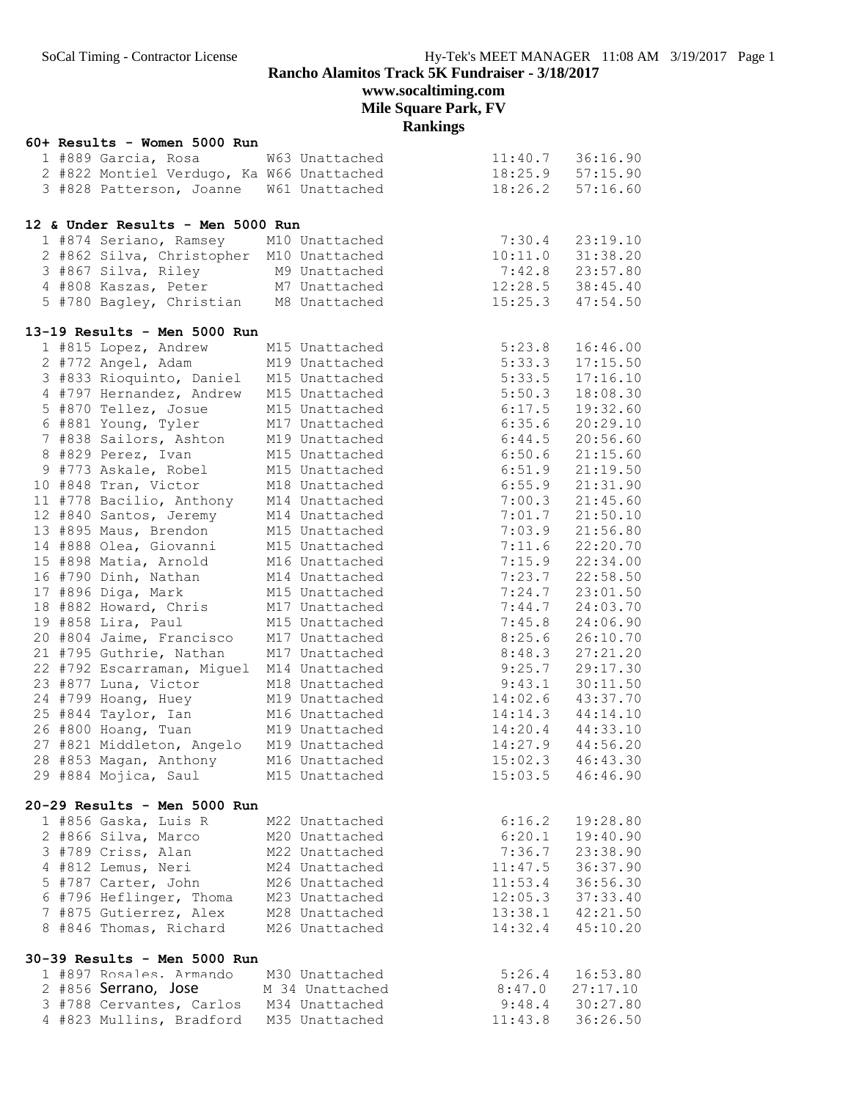# **Mile Square Park, FV**

**Rankings**

|  | 60+ Results - Women 5000 Run                                                                                     |                                                                                      |                                             |                                      |
|--|------------------------------------------------------------------------------------------------------------------|--------------------------------------------------------------------------------------|---------------------------------------------|--------------------------------------|
|  | 1 #889 Garcia, Rosa W63 Unattached                                                                               |                                                                                      |                                             |                                      |
|  |                                                                                                                  | 2 #822 Montiel Verdugo, Ka W66 Unattached<br>3 #828 Patterson, Joanne W61 Unattached |                                             | 11:40.7 36:16.90<br>18:25.9 57:15.90 |
|  | 3 #828 Patterson, Joanne W61 Unattached                                                                          |                                                                                      |                                             | $18:26.2$ $57:16.60$                 |
|  |                                                                                                                  |                                                                                      |                                             |                                      |
|  | 12 & Under Results - Men 5000 Run                                                                                |                                                                                      |                                             |                                      |
|  | 1 #874 Seriano, Ramsey M10 Unattached                                                                            |                                                                                      | 7:30.4                                      | 23:19.10                             |
|  | 2 #862 Silva, Christopher M10 Unattached                                                                         |                                                                                      | 10:11.0                                     | 31:38.20                             |
|  | 3 #867 Silva, Riley M9 Unattached                                                                                |                                                                                      | $7:42.8$ $23:57.80$                         |                                      |
|  |                                                                                                                  | 4 #808 Kaszas, Peter M7 Unattached                                                   | 12:28.5                                     | 38:45.40                             |
|  | 5 #780 Bagley, Christian M8 Unattached                                                                           |                                                                                      | 15:25.3                                     | 47:54.50                             |
|  |                                                                                                                  |                                                                                      |                                             |                                      |
|  | 13-19 Results - Men 5000 Run                                                                                     |                                                                                      |                                             |                                      |
|  | 1 #815 Lopez, Andrew                                                                                             | M15 Unattached                                                                       | 5:23.8                                      | 16:46.00                             |
|  | 2 #772 Angel, Adam                                                                                               | M19 Unattached                                                                       | 5:33.3                                      | 17:15.50                             |
|  | 3 #833 Rioquinto, Daniel M15 Unattached                                                                          |                                                                                      | 5:33.5                                      | 17:16.10                             |
|  | 4 #797 Hernandez, Andrew M15 Unattached                                                                          |                                                                                      | 5:50.3                                      | 18:08.30                             |
|  | 5 #870 Tellez, Josue M15 Unattached                                                                              |                                                                                      | 6:17.5                                      | 19:32.60                             |
|  | 6 #881 Young, Tyler M17 Unattached<br>7 #838 Sailors, Ashton M19 Unattached<br>8 #829 Perez, Ivan M15 Unattached |                                                                                      | 6:35.6                                      | 20:29.10                             |
|  |                                                                                                                  |                                                                                      | 6:44.5                                      | 20:56.60                             |
|  |                                                                                                                  |                                                                                      | 6:50.6                                      | 21:15.60                             |
|  | 9 #773 Askale, Robel M15 Unattached                                                                              |                                                                                      | 6:51.9                                      | 21:19.50                             |
|  | 10 #848 Tran, Victor M18 Unattached                                                                              |                                                                                      | 6:55.9                                      | 21:31.90                             |
|  | 11 #778 Bacilio, Anthony M14 Unattached                                                                          |                                                                                      | $7:00.3$<br>$7:01.7$                        | 21:45.60                             |
|  | 12 #840 Santos, Jeremy M14 Unattached<br>13 #895 Maus, Brendon M15 Unattached                                    |                                                                                      |                                             | 21:50.10                             |
|  |                                                                                                                  |                                                                                      | 7:01.7                                      | 21:56.80                             |
|  | 14 #888 Olea, Giovanni M15 Unattached                                                                            |                                                                                      | 7:11.6                                      | 22:20.70                             |
|  | 15 #898 Matia, Arnold M16 Unattached                                                                             |                                                                                      | 7:15.9                                      | 22:34.00                             |
|  | 16 #790 Dinh, Nathan M14 Unattached                                                                              |                                                                                      | 7:23.7                                      | 22:58.50                             |
|  | 17 #896 Diga, Mark                                                                                               | M15 Unattached                                                                       | 7:24.7                                      | 23:01.50                             |
|  |                                                                                                                  |                                                                                      | 7:44.7                                      | 24:03.70                             |
|  | 18 #882 Howard, Chris M17 Unattached<br>19 #858 Lira, Paul M15 Unattached                                        |                                                                                      | 7:45.8                                      | 24:06.90                             |
|  | 20 #804 Jaime, Francisco M17 Unattached                                                                          |                                                                                      | 8:25.6                                      | 26:10.70                             |
|  | 21 #795 Guthrie, Nathan                                                                                          | M17 Unattached                                                                       | 8:48.3                                      | 27:21.20                             |
|  | 22 #792 Escarraman, Miguel M14 Unattached                                                                        |                                                                                      | 9:25.7                                      | 29:17.30                             |
|  |                                                                                                                  |                                                                                      |                                             |                                      |
|  | 23 #877 Luna, Victor M18 Unattached                                                                              |                                                                                      | $9:43.1$ $30:11.50$<br>$14:02.6$ $43:37.70$ |                                      |
|  | 24 #799 Hoang, Huey M19 Unattached<br>25 #844 Taylor, Ian M16 Unattached                                         |                                                                                      |                                             | $14:14.3$ $44:14.10$                 |
|  |                                                                                                                  | M19 Unattached                                                                       |                                             | 14:20.4 44:33.10                     |
|  | 26 #800 Hoang, Tuan                                                                                              |                                                                                      |                                             |                                      |
|  | 27 #821 Middleton, Angelo                                                                                        | M19 Unattached                                                                       | 14:27.9                                     | 44:56.20                             |
|  | 28 #853 Magan, Anthony                                                                                           | M16 Unattached                                                                       |                                             | $15:02.3$ $46:43.30$                 |
|  | 29 #884 Mojica, Saul                                                                                             | M15 Unattached                                                                       | 15:03.5                                     | 46:46.90                             |
|  | 20-29 Results - Men 5000 Run                                                                                     |                                                                                      |                                             |                                      |
|  | 1 #856 Gaska, Luis R                                                                                             | M22 Unattached                                                                       | 6:16.2                                      | 19:28.80                             |
|  | 2 #866 Silva, Marco                                                                                              | M20 Unattached                                                                       | 6:20.1                                      | 19:40.90                             |
|  | 3 #789 Criss, Alan                                                                                               | M22 Unattached                                                                       | 7:36.7                                      | 23:38.90                             |
|  | 4 #812 Lemus, Neri                                                                                               | M24 Unattached                                                                       | 11:47.5                                     | 36:37.90                             |
|  | 5 #787 Carter, John                                                                                              | M26 Unattached                                                                       | 11:53.4                                     | 36:56.30                             |
|  | 6 #796 Heflinger, Thoma                                                                                          | M23 Unattached                                                                       | 12:05.3                                     | 37:33.40                             |
|  | 7 #875 Gutierrez, Alex                                                                                           | M28 Unattached                                                                       | 13:38.1                                     | 42:21.50                             |
|  | 8 #846 Thomas, Richard                                                                                           | M26 Unattached                                                                       | 14:32.4                                     | 45:10.20                             |
|  |                                                                                                                  |                                                                                      |                                             |                                      |
|  | 30-39 Results - Men 5000 Run                                                                                     |                                                                                      |                                             |                                      |
|  | 1 #897 Rosales. Armando                                                                                          | M30 Unattached                                                                       | 5:26.4                                      | 16:53.80                             |
|  | 2 #856 Serrano, Jose                                                                                             | M 34 Unattached                                                                      | 8:47.0                                      | 27:17.10                             |
|  | 3 #788 Cervantes, Carlos                                                                                         | M34 Unattached                                                                       | 9:48.4                                      | 30:27.80                             |
|  | 4 #823 Mullins, Bradford M35 Unattached                                                                          |                                                                                      | 11:43.8                                     | 36:26.50                             |